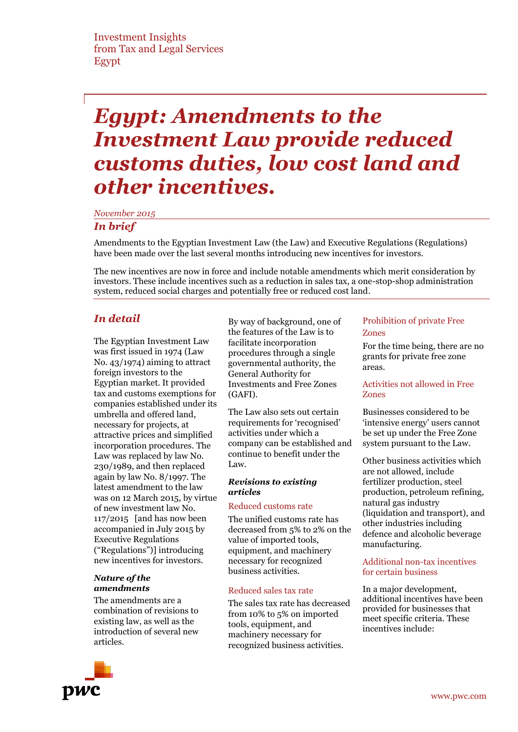# *Egypt: Amendments to the Investment Law provide reduced customs duties, low cost land and other incentives.*

*November 2015*

# *In brief*

Amendments to the Egyptian Investment Law (the Law) and Executive Regulations (Regulations) have been made over the last several months introducing new incentives for investors.

The new incentives are now in force and include notable amendments which merit consideration by investors. These include incentives such as a reduction in sales tax, a one-stop-shop administration system, reduced social charges and potentially free or reduced cost land.

# *In detail*

The Egyptian Investment Law was first issued in 1974 (Law No. 43/1974) aiming to attract foreign investors to the Egyptian market. It provided tax and customs exemptions for companies established under its umbrella and offered land, necessary for projects, at attractive prices and simplified incorporation procedures. The Law was replaced by law No. 230/1989, and then replaced again by law No. 8/1997. The latest amendment to the law was on 12 March 2015, by virtue of new investment law No. 117/2015 [and has now been accompanied in July 2015 by Executive Regulations ("Regulations")] introducing new incentives for investors.

#### *Nature of the amendments*

The amendments are a combination of revisions to existing law, as well as the introduction of several new articles.

By way of background, one of the features of the Law is to facilitate incorporation procedures through a single governmental authority, the General Authority for Investments and Free Zones (GAFI).

The Law also sets out certain requirements for 'recognised' activities under which a company can be established and continue to benefit under the Law.

# *Revisions to existing articles*

#### Reduced customs rate

The unified customs rate has decreased from 5% to 2% on the value of imported tools, equipment, and machinery necessary for recognized business activities.

#### Reduced sales tax rate

The sales tax rate has decreased from 10% to 5% on imported tools, equipment, and machinery necessary for recognized business activities.

# Prohibition of private Free Zones

For the time being, there are no grants for private free zone areas.

#### Activities not allowed in Free Zones

Businesses considered to be 'intensive energy' users cannot be set up under the Free Zone system pursuant to the Law.

Other business activities which are not allowed, include fertilizer production, steel production, petroleum refining, natural gas industry (liquidation and transport), and other industries including defence and alcoholic beverage manufacturing.

#### Additional non-tax incentives for certain business

In a major development, additional incentives have been provided for businesses that meet specific criteria. These incentives include:

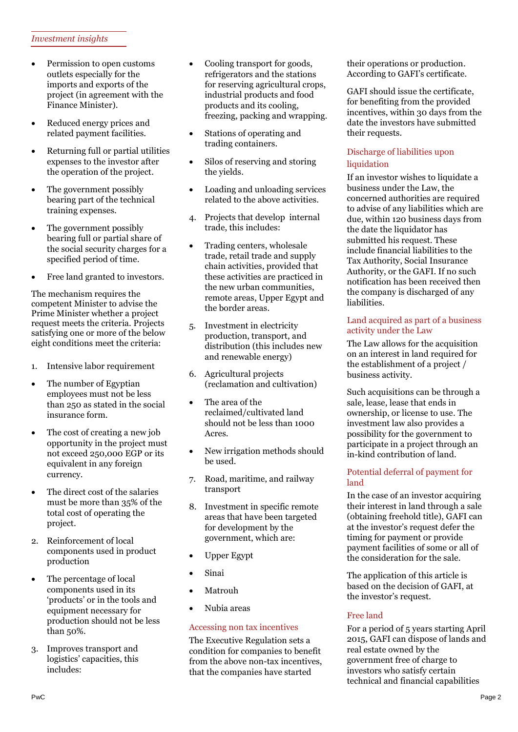# *Investment insights*

- Permission to open customs outlets especially for the imports and exports of the project (in agreement with the Finance Minister).
- Reduced energy prices and related payment facilities.
- Returning full or partial utilities expenses to the investor after the operation of the project.
- The government possibly bearing part of the technical training expenses.
- The government possibly bearing full or partial share of the social security charges for a specified period of time.
- Free land granted to investors.

The mechanism requires the competent Minister to advise the Prime Minister whether a project request meets the criteria. Projects satisfying one or more of the below eight conditions meet the criteria:

- 1. Intensive labor requirement
- The number of Egyptian employees must not be less than 250 as stated in the social insurance form.
- The cost of creating a new job opportunity in the project must not exceed 250,000 EGP or its equivalent in any foreign currency.
- The direct cost of the salaries must be more than 35% of the total cost of operating the project.
- 2. Reinforcement of local components used in product production
- The percentage of local components used in its 'products' or in the tools and equipment necessary for production should not be less than 50%.
- 3. Improves transport and logistics' capacities, this includes:
- Cooling transport for goods, refrigerators and the stations for reserving agricultural crops, industrial products and food products and its cooling, freezing, packing and wrapping.
- Stations of operating and trading containers.
- Silos of reserving and storing the yields.
- Loading and unloading services related to the above activities.
- 4. Projects that develop internal trade, this includes:
- Trading centers, wholesale trade, retail trade and supply chain activities, provided that these activities are practiced in the new urban communities, remote areas, Upper Egypt and the border areas.
- 5. Investment in electricity production, transport, and distribution (this includes new and renewable energy)
- 6. Agricultural projects (reclamation and cultivation)
- The area of the reclaimed/cultivated land should not be less than 1000 Acres.
- New irrigation methods should be used.
- 7. Road, maritime, and railway transport
- 8. Investment in specific remote areas that have been targeted for development by the government, which are:
- Upper Egypt
- Sinai
- Matrouh
- Nubia areas

# Accessing non tax incentives

The Executive Regulation sets a condition for companies to benefit from the above non-tax incentives, that the companies have started

their operations or production. According to GAFI's certificate.

GAFI should issue the certificate, for benefiting from the provided incentives, within 30 days from the date the investors have submitted their requests.

# Discharge of liabilities upon liquidation

If an investor wishes to liquidate a business under the Law, the concerned authorities are required to advise of any liabilities which are due, within 120 business days from the date the liquidator has submitted his request. These include financial liabilities to the Tax Authority, Social Insurance Authority, or the GAFI. If no such notification has been received then the company is discharged of any liabilities.

# Land acquired as part of a business activity under the Law

The Law allows for the acquisition on an interest in land required for the establishment of a project / business activity.

Such acquisitions can be through a sale, lease, lease that ends in ownership, or license to use. The investment law also provides a possibility for the government to participate in a project through an in-kind contribution of land.

# Potential deferral of payment for land

In the case of an investor acquiring their interest in land through a sale (obtaining freehold title), GAFI can at the investor's request defer the timing for payment or provide payment facilities of some or all of the consideration for the sale.

The application of this article is based on the decision of GAFI, at the investor's request.

# Free land

For a period of 5 years starting April 2015, GAFI can dispose of lands and real estate owned by the government free of charge to investors who satisfy certain technical and financial capabilities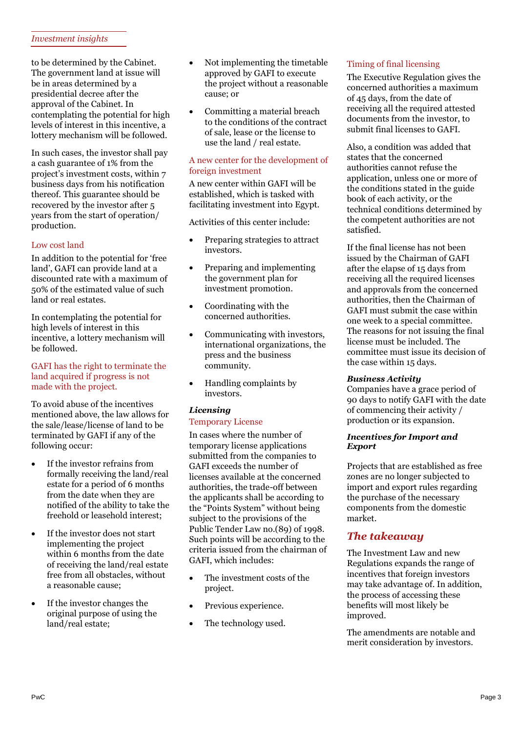# *Investment insights*

to be determined by the Cabinet. The government land at issue will be in areas determined by a presidential decree after the approval of the Cabinet. In contemplating the potential for high levels of interest in this incentive, a lottery mechanism will be followed.

In such cases, the investor shall pay a cash guarantee of 1% from the project's investment costs, within 7 business days from his notification thereof. This guarantee should be recovered by the investor after 5 years from the start of operation/ production.

# Low cost land

In addition to the potential for 'free land', GAFI can provide land at a discounted rate with a maximum of 50% of the estimated value of such land or real estates.

In contemplating the potential for high levels of interest in this incentive, a lottery mechanism will be followed.

#### GAFI has the right to terminate the land acquired if progress is not made with the project.

To avoid abuse of the incentives mentioned above, the law allows for the sale/lease/license of land to be terminated by GAFI if any of the following occur:

- If the investor refrains from formally receiving the land/real estate for a period of 6 months from the date when they are notified of the ability to take the freehold or leasehold interest;
- If the investor does not start implementing the project within 6 months from the date of receiving the land/real estate free from all obstacles, without a reasonable cause;
- If the investor changes the original purpose of using the land/real estate;
- Not implementing the timetable approved by GAFI to execute the project without a reasonable cause; or
- Committing a material breach to the conditions of the contract of sale, lease or the license to use the land / real estate.

# A new center for the development of foreign investment

A new center within GAFI will be established, which is tasked with facilitating investment into Egypt.

Activities of this center include:

- Preparing strategies to attract investors.
- Preparing and implementing the government plan for investment promotion.
- Coordinating with the concerned authorities.
- Communicating with investors, international organizations, the press and the business community.
- Handling complaints by investors.

# *Licensing*

# Temporary License

In cases where the number of temporary license applications submitted from the companies to GAFI exceeds the number of licenses available at the concerned authorities, the trade-off between the applicants shall be according to the "Points System" without being subject to the provisions of the Public Tender Law no.(89) of 1998. Such points will be according to the criteria issued from the chairman of GAFI, which includes:

- The investment costs of the project.
- Previous experience.
- The technology used.

# Timing of final licensing

The Executive Regulation gives the concerned authorities a maximum of 45 days, from the date of receiving all the required attested documents from the investor, to submit final licenses to GAFI.

Also, a condition was added that states that the concerned authorities cannot refuse the application, unless one or more of the conditions stated in the guide book of each activity, or the technical conditions determined by the competent authorities are not satisfied.

If the final license has not been issued by the Chairman of GAFI after the elapse of 15 days from receiving all the required licenses and approvals from the concerned authorities, then the Chairman of GAFI must submit the case within one week to a special committee. The reasons for not issuing the final license must be included. The committee must issue its decision of the case within 15 days.

# *Business Activity*

Companies have a grace period of 90 days to notify GAFI with the date of commencing their activity / production or its expansion.

#### *Incentives for Import and Export*

Projects that are established as free zones are no longer subjected to import and export rules regarding the purchase of the necessary components from the domestic market.

# *The takeaway*

The Investment Law and new Regulations expands the range of incentives that foreign investors may take advantage of. In addition, the process of accessing these benefits will most likely be improved.

The amendments are notable and merit consideration by investors.